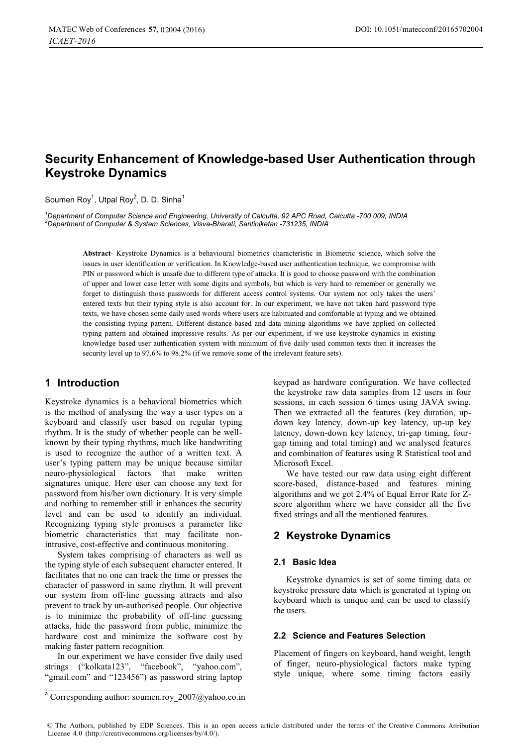# **Security Enhancement of Knowledge-based User Authentication through Keystroke Dynamics**

Soumen Rov<sup>1</sup>, Utpal Rov<sup>2</sup>, D. D. Sinha<sup>1</sup>

*1 Department of Computer Science and Engineering, University of Calcutta, 92 APC Road, Calcutta -700 009, INDIA 2 Department of Computer & System Sciences, Visva-Bharati, Santiniketan -731235, INDIA* 

> **Abstract***-* Keystroke Dynamics is a behavioural biometrics characteristic in Biometric science, which solve the issues in user identification or verification. In Knowledge-based user authentication technique, we compromise with PIN or password which is unsafe due to different type of attacks. It is good to choose password with the combination of upper and lower case letter with some digits and symbols, but which is very hard to remember or generally we forget to distinguish those passwords for different access control systems. Our system not only takes the users' entered texts but their typing style is also account for. In our experiment, we have not taken hard password type texts, we have chosen some daily used words where users are habituated and comfortable at typing and we obtained the consisting typing pattern. Different distance-based and data mining algorithms we have applied on collected typing pattern and obtained impressive results. As per our experiment, if we use keystroke dynamics in existing knowledge based user authentication system with minimum of five daily used common texts then it increases the security level up to 97.6% to 98.2% (if we remove some of the irrelevant feature sets).

### **1 Introduction**

Keystroke dynamics is a behavioral biometrics which is the method of analysing the way a user types on a keyboard and classify user based on regular typing rhythm. It is the study of whether people can be wellknown by their typing rhythms, much like handwriting is used to recognize the author of a written text. A user's typing pattern may be unique because similar neuro-physiological factors that make written signatures unique. Here user can choose any text for password from his/her own dictionary. It is very simple and nothing to remember still it enhances the security level and can be used to identify an individual. Recognizing typing style promises a parameter like biometric characteristics that may facilitate nonintrusive, cost-effective and continuous monitoring.

System takes comprising of characters as well as the typing style of each subsequent character entered. It facilitates that no one can track the time or presses the character of password in same rhythm. It will prevent our system from off-line guessing attracts and also prevent to track by un-authorised people. Our objective is to minimize the probability of off-line guessing attacks, hide the password from public, minimize the hardware cost and minimize the software cost by making faster pattern recognition.

In our experiment we have consider five daily used strings ("kolkata123", "facebook", "yahoo.com", "gmail.com" and "123456") as password string laptop

keypad as hardware configuration. We have collected the keystroke raw data samples from 12 users in four sessions, in each session 6 times using JAVA swing. Then we extracted all the features (key duration, updown key latency, down-up key latency, up-up key latency, down-down key latency, tri-gap timing, fourgap timing and total timing) and we analysed features and combination of features using R Statistical tool and Microsoft Excel.

We have tested our raw data using eight different score-based, distance-based and features mining algorithms and we got 2.4% of Equal Error Rate for Zscore algorithm where we have consider all the five fixed strings and all the mentioned features.

### **2 Keystroke Dynamics**

#### **2.1 Basic Idea**

Keystroke dynamics is set of some timing data or keystroke pressure data which is generated at typing on keyboard which is unique and can be used to classify the users.

#### **2.2 Science and Features Selection**

Placement of fingers on keyboard, hand weight, length of finger, neuro-physiological factors make typing style unique, where some timing factors easily

 $a$  Corresponding author: soumen.roy\_2007@yahoo.co.in

<sup>©</sup> The Authors, published by EDP Sciences. This is an open access article distributed under the terms of the Creative Commons Attribution License 4.0 [\(http://creativecommons.org/licenses/by/4.0/\)](http://creativecommons.org/licenses/by/4.0/).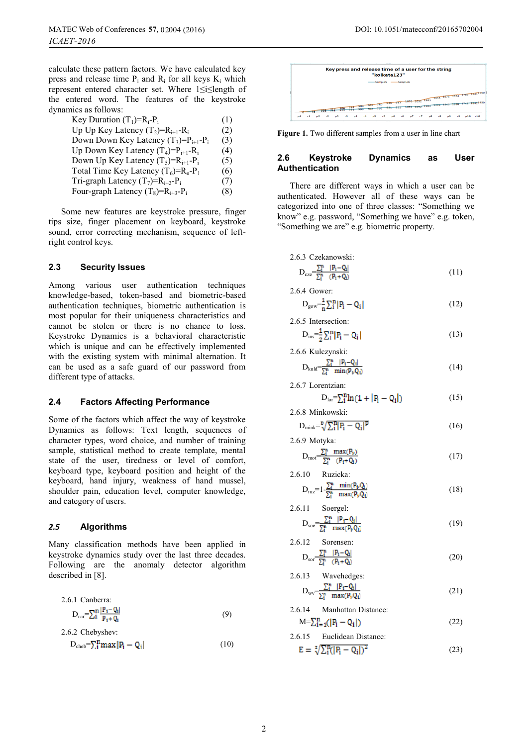calculate these pattern factors. We have calculated key press and release time  $P_i$  and  $R_i$  for all keys  $K_i$  which represent entered character set. Where 1≤i≤length of the entered word. The features of the keystroke dynamics as follows:

| Key Duration $(T_1) = R_i - P_i$           | (1) |
|--------------------------------------------|-----|
| Up Up Key Latency $(T_2)=R_{i+1}-R_i$      | (2) |
| Down Down Key Latency $(T_3)=P_{i+1}-P_i$  | (3) |
| Up Down Key Latency $(T_4)=P_{i+1}-R_i$    | (4) |
| Down Up Key Latency $(T_5)=R_{i+1}-P_i$    | (5) |
| Total Time Key Latency $(T_6) = R_n - P_1$ | (6) |
| Tri-graph Latency $(T_7)=R_{i+2}-P_i$      | (7) |
| Four-graph Latency $(T_8) = R_{i+3} - P_i$ | (8) |

Some new features are keystroke pressure, finger tips size, finger placement on keyboard, keystroke sound, error correcting mechanism, sequence of leftright control keys.

### **2.3 Security Issues**

Among various user authentication techniques knowledge-based, token-based and biometric-based authentication techniques, biometric authentication is most popular for their uniqueness characteristics and cannot be stolen or there is no chance to loss. Keystroke Dynamics is a behavioral characteristic which is unique and can be effectively implemented with the existing system with minimal alternation. It can be used as a safe guard of our password from different type of attacks.

#### **2.4 Factors Affecting Performance**

Some of the factors which affect the way of keystroke Dynamics as follows: Text length, sequences of character types, word choice, and number of training sample, statistical method to create template, mental state of the user, tiredness or level of comfort, keyboard type, keyboard position and height of the keyboard, hand injury, weakness of hand mussel, shoulder pain, education level, computer knowledge, and category of users.

#### *2.* **Algorithms** *5*

Many classification methods have been applied in keystroke dynamics study over the last three decades. Following are the anomaly detector algorithm described in [8].

2.6.1 Canberra:  
\n
$$
D_{car} = \sum_{i} \frac{|\mathbf{P}_{i} - \mathbf{Q}_{i}|}{\mathbf{P}_{i} + \mathbf{Q}_{i}}
$$
\n(9)

2.6.2 Chebyshev:  
\n
$$
D_{\text{cheb}} = \sum_{i} P_i \max |P_i - Q_i|
$$
\n(10)



**Figure 1.** Two different samples from a user in line chart

#### **2.6 Keystroke Dynamics as User Authentication**

There are different ways in which a user can be authenticated. However all of these ways can be categorized into one of three classes: "Something we know" e.g. password, "Something we have" e.g. token, "Something we are" e.g. biometric property.

2.6.3 Czekanowski:  
\n
$$
D_{cze} = \frac{\sum_{i}^{n} |P_i - Q_i|}{\sum_{i}^{n} (P_i + Q_i)}
$$
\n(11)

2.6.4 Gower:

$$
D_{\text{gov}} = \frac{1}{n} \sum_{i}^{n} |P_i - Q_i|
$$
 (12)

2.6.5 Intersection:

$$
D_{ins} = \frac{1}{2} \sum_{i}^{n} |P_i - Q_i|
$$
 (13)

2.6.6 Kulczynski:

$$
D_{\text{kuld}} = \frac{\sum_{i}^{n} |P_i - Q_i|}{\sum_{i}^{n} \min(P_{\nu} Q_i)} \tag{14}
$$

2.6.7 Lorentzian:

$$
D_{\text{lor}} = \sum_{i}^{n} \ln(1 + |P_i - Q_i|) \tag{15}
$$

2.6.8 Minkowski:

$$
D_{\text{mink}} = \sqrt[n]{\sum_{i}^{n} |P_i - Q_i|^p}
$$
 (16)

2.6.9 Motyka:  
\n
$$
D_{mot} \frac{\sum_{i}^{n} max(P_{ij})}{\sum_{i}^{n} (P_{i} + Q_{i})}
$$
\n(17)

2.6.10 Ruzicka:

$$
D_{ruz} = 1 - \frac{\sum_{l}^{n} \min(P_{l}, Q_{l})}{\sum_{l}^{n} \max(P_{l}, Q_{l})}
$$
\n(18)

2.6.11 Soergel:

$$
D_{\rm soc} \frac{\sum_{i}^{n} |P_i - Q_i|}{\sum_{i}^{n} \max(P_{\nu} Q_i)} \tag{19}
$$

2.6.12 Sorensen:  
\n
$$
D_{\text{sort}} \frac{\sum_{i=1}^{n} |P_i - Q_i|}{\sum_{i=1}^{n} (P_i + Q_i)}
$$
\n(20)

2.6.13 Wavehedges:  
\n
$$
D_{\rm uv} = \frac{\sum_{i}^{n} |P_i - Q_i|}{\sum_{i}^{n} \max(P_{\nu} Q_i)}
$$
\n(21)

2.6.14 Manhattan Distance:  
\n
$$
M = \sum_{i=1}^{n} (|P_i - Q_i|)
$$
\n(22)

2.6.15 Euclidean Distance:  
\n
$$
E = \sqrt[2]{\sum_{i}^{n} (|P_i - Q_i|)^2}
$$
\n(23)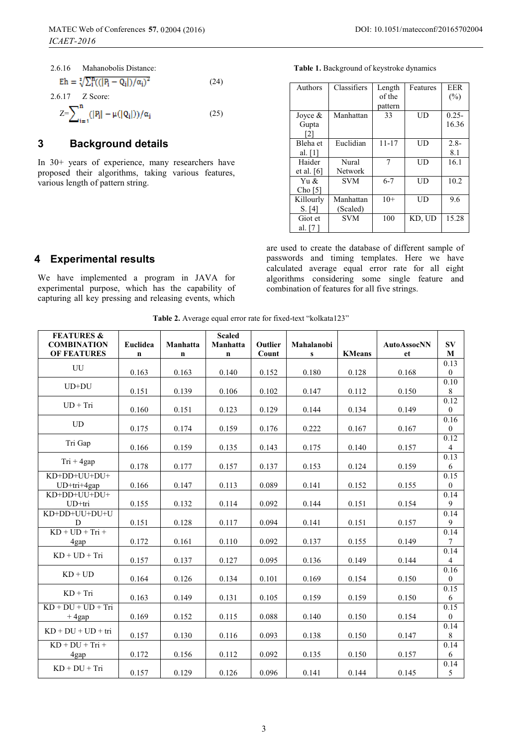| 2.6.16 Mahanobolis Distance:                           |      |
|--------------------------------------------------------|------|
| $Eh = \sqrt[2]{\sum_i^{B} (( P_i - Q_i )/\alpha_i)^2}$ | (24) |
| 2.6.17 Z Score:                                        |      |
| $Z = \sum_{i=1}^{n} ( P_i  - \mu( Q_i ))/\alpha_i$     | (25) |

### **3 Background details**

In 30+ years of experience, many researchers have proposed their algorithms, taking various features, various length of pattern string.

**Table 1.** Background of keystroke dynamics

| Authors            | Classifiers    | Length    | Features | EER      |
|--------------------|----------------|-----------|----------|----------|
|                    |                | of the    |          | (%)      |
|                    |                | pattern   |          |          |
| Joyce $\&$         | Manhattan      | 33        | UD       | $0.25 -$ |
| Gupta              |                |           |          | 16.36    |
| 2                  |                |           |          |          |
| Bleha et           | Euclidian      | $11 - 17$ | UD       | $2.8 -$  |
| al. $[1]$          |                |           |          | 8.1      |
| Haider             | Nural          | 7         | UD       | 16.1     |
| et al. $[6]$       | <b>Network</b> |           |          |          |
| Yu &               | <b>SVM</b>     | $6 - 7$   | UD       | 10.2     |
| Cho <sub>[5]</sub> |                |           |          |          |
| Killourly          | Manhattan      | $10+$     | UD       | 9.6      |
| S. [4]             | (Scaled)       |           |          |          |
| Giot et            | <b>SVM</b>     | 100       | KD, UD   | 15.28    |
| al. [7]            |                |           |          |          |

are used to create the database of different sample of passwords and timing templates. Here we have calculated average equal error rate for all eight algorithms considering some single feature and combination of features for all five strings.

### **4 Experimental results**

We have implemented a program in JAVA for experimental purpose, which has the capability of capturing all key pressing and releasing events, which

**Table 2.** Average equal error rate for fixed-text "kolkata123"

| <b>FEATURES &amp;</b><br><b>COMBINATION</b><br><b>OF FEATURES</b> | Euclidea<br>n | Manhatta<br>$\mathbf n$ | <b>Scaled</b><br>Manhatta<br>$\mathbf n$ | Outlier<br>Count | Mahalanobi<br>${\bf S}$ | <b>KMeans</b> | <b>AutoAssocNN</b><br>et | $S_{V}$<br>$\mathbf{M}$  |
|-------------------------------------------------------------------|---------------|-------------------------|------------------------------------------|------------------|-------------------------|---------------|--------------------------|--------------------------|
| UU                                                                | 0.163         | 0.163                   | 0.140                                    | 0.152            | 0.180                   | 0.128         | 0.168                    | 0.13<br>$\bf{0}$         |
| $UD+DU$                                                           | 0.151         | 0.139                   | 0.106                                    | 0.102            | 0.147                   | 0.112         | 0.150                    | 0.10<br>$\,8\,$          |
| $UD + Tri$                                                        | 0.160         | 0.151                   | 0.123                                    | 0.129            | 0.144                   | 0.134         | 0.149                    | 0.12<br>$\bf{0}$         |
| <b>UD</b>                                                         | 0.175         | 0.174                   | 0.159                                    | 0.176            | 0.222                   | 0.167         | 0.167                    | 0.16<br>$\bf{0}$         |
| Tri Gap                                                           | 0.166         | 0.159                   | 0.135                                    | 0.143            | 0.175                   | 0.140         | 0.157                    | 0.12<br>$\overline{4}$   |
| $Tri + 4gap$                                                      | 0.178         | 0.177                   | 0.157                                    | 0.137            | 0.153                   | 0.124         | 0.159                    | 0.13<br>6                |
| KD+DD+UU+DU+<br>UD+tri+4gap                                       | 0.166         | 0.147                   | 0.113                                    | 0.089            | 0.141                   | 0.152         | 0.155                    | 0.15<br>$\boldsymbol{0}$ |
| KD+DD+UU+DU+<br>UD+tri                                            | 0.155         | 0.132                   | 0.114                                    | 0.092            | 0.144                   | 0.151         | 0.154                    | 0.14<br>9                |
| KD+DD+UU+DU+U<br>D                                                | 0.151         | 0.128                   | 0.117                                    | 0.094            | 0.141                   | 0.151         | 0.157                    | 0.14<br>9                |
| $KD + UD + Tri +$<br>4gap                                         | 0.172         | 0.161                   | 0.110                                    | 0.092            | 0.137                   | 0.155         | 0.149                    | 0.14<br>$\tau$           |
| $KD + UD + Tri$                                                   | 0.157         | 0.137                   | 0.127                                    | 0.095            | 0.136                   | 0.149         | 0.144                    | 0.14<br>$\overline{4}$   |
| $KD + UD$                                                         | 0.164         | 0.126                   | 0.134                                    | 0.101            | 0.169                   | 0.154         | 0.150                    | 0.16<br>$\bf{0}$         |
| $KD + Tri$                                                        | 0.163         | 0.149                   | 0.131                                    | 0.105            | 0.159                   | 0.159         | 0.150                    | 0.15<br>6                |
| $KD + DU + UD + Tri$<br>$+4$ gap                                  | 0.169         | 0.152                   | 0.115                                    | 0.088            | 0.140                   | 0.150         | 0.154                    | 0.15<br>$\overline{0}$   |
| $KD + DU + UD + tri$                                              | 0.157         | 0.130                   | 0.116                                    | 0.093            | 0.138                   | 0.150         | 0.147                    | 0.14<br>8                |
| $KD + DU + Tri +$<br>4gap                                         | 0.172         | 0.156                   | 0.112                                    | 0.092            | 0.135                   | 0.150         | 0.157                    | 0.14<br>6                |
| $KD + DU + Tri$                                                   | 0.157         | 0.129                   | 0.126                                    | 0.096            | 0.141                   | 0.144         | 0.145                    | 0.14<br>5                |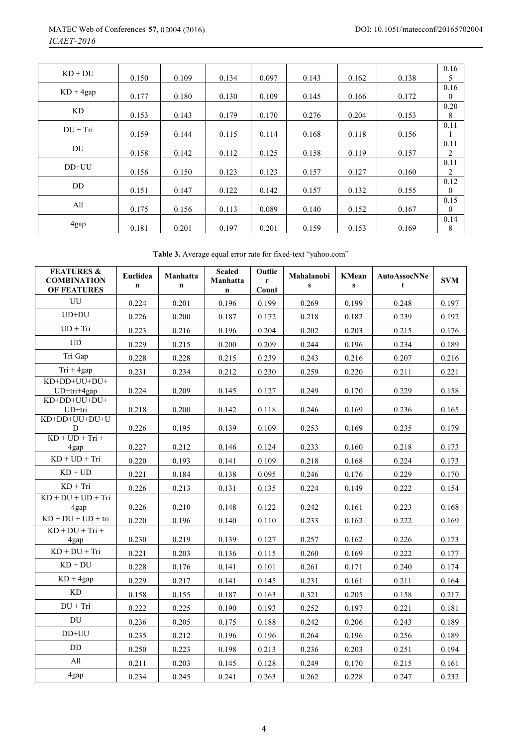| $KD + DU$   | 0.150 | 0.109 | 0.134 | 0.097 | 0.143 | 0.162 | 0.138 | 0.16<br>5    |
|-------------|-------|-------|-------|-------|-------|-------|-------|--------------|
|             |       |       |       |       |       |       |       |              |
| $KD + 4gap$ |       |       |       |       |       |       |       | 0.16         |
|             | 0.177 | 0.180 | 0.130 | 0.109 | 0.145 | 0.166 | 0.172 | $\mathbf{0}$ |
|             |       |       |       |       |       |       |       | 0.20         |
| KD.         | 0.153 | 0.143 | 0.179 | 0.170 | 0.276 | 0.204 | 0.153 | 8            |
|             |       |       |       |       |       |       |       | 0.11         |
| $DU + Tri$  |       |       |       |       |       |       |       |              |
|             | 0.159 | 0.144 | 0.115 | 0.114 | 0.168 | 0.118 | 0.156 | 1            |
|             |       |       |       |       |       |       |       | 0.11         |
| DU          | 0.158 | 0.142 | 0.112 | 0.125 | 0.158 | 0.119 | 0.157 | 2            |
|             |       |       |       |       |       |       |       | 0.11         |
| DD+UU       | 0.156 | 0.150 | 0.123 | 0.123 | 0.157 | 0.127 | 0.160 | 2            |
|             |       |       |       |       |       |       |       | 0.12         |
| DD.         |       |       |       |       |       |       |       |              |
|             | 0.151 | 0.147 | 0.122 | 0.142 | 0.157 | 0.132 | 0.155 | $\theta$     |
|             |       |       |       |       |       |       |       | 0.15         |
| All         | 0.175 | 0.156 | 0.113 | 0.089 | 0.140 | 0.152 | 0.167 | $\theta$     |
|             |       |       |       |       |       |       |       | 0.14         |
| 4gap        | 0.181 | 0.201 | 0.197 | 0.201 | 0.159 | 0.153 | 0.169 | 8            |
|             |       |       |       |       |       |       |       |              |

**Table 3.** Average equal error rate for fixed-text "yahoo.com"

| <b>FEATURES &amp;</b><br><b>COMBINATION</b><br><b>OF FEATURES</b> | Euclidea<br>$\mathbf n$ | Manhatta<br>n | <b>Scaled</b><br>Manhatta<br>$\mathbf n$ | Outlie<br>r<br>Count | Mahalanobi<br>$\mathbf{s}$ | <b>KMean</b><br>$\mathbf{s}$ | <b>AutoAssocNNe</b><br>t | <b>SVM</b> |
|-------------------------------------------------------------------|-------------------------|---------------|------------------------------------------|----------------------|----------------------------|------------------------------|--------------------------|------------|
| UU                                                                | 0.224                   | 0.201         | 0.196                                    | 0.199                | 0.269                      | 0.199                        | 0.248                    | 0.197      |
| $UD+DU$                                                           | 0.226                   | 0.200         | 0.187                                    | 0.172                | 0.218                      | 0.182                        | 0.239                    | 0.192      |
| $UD + Tri$                                                        | 0.223                   | 0.216         | 0.196                                    | 0.204                | 0.202                      | 0.203                        | 0.215                    | 0.176      |
| UD                                                                | 0.229                   | 0.215         | 0.200                                    | 0.209                | 0.244                      | 0.196                        | 0.234                    | 0.189      |
| Tri Gap                                                           | 0.228                   | 0.228         | 0.215                                    | 0.239                | 0.243                      | 0.216                        | 0.207                    | 0.216      |
| $Tri + 4gap$                                                      | 0.231                   | 0.234         | 0.212                                    | 0.230                | 0.259                      | 0.220                        | 0.211                    | 0.221      |
| KD+DD+UU+DU+<br>UD+tri+4gap                                       | 0.224                   | 0.209         | 0.145                                    | 0.127                | 0.249                      | 0.170                        | 0.229                    | 0.158      |
| KD+DD+UU+DU+<br>UD+tri                                            | 0.218                   | 0.200         | 0.142                                    | 0.118                | 0.246                      | 0.169                        | 0.236                    | 0.165      |
| KD+DD+UU+DU+U<br>D                                                | 0.226                   | 0.195         | 0.139                                    | 0.109                | 0.253                      | 0.169                        | 0.235                    | 0.179      |
| $KD + UD + Tri +$<br>4gap                                         | 0.227                   | 0.212         | 0.146                                    | 0.124                | 0.233                      | 0.160                        | 0.218                    | 0.173      |
| $KD + UD + Tri$                                                   | 0.220                   | 0.193         | 0.141                                    | 0.109                | 0.218                      | 0.168                        | 0.224                    | 0.173      |
| $KD + UD$                                                         | 0.221                   | 0.184         | 0.138                                    | 0.095                | 0.246                      | 0.176                        | 0.229                    | 0.170      |
| $KD + Tri$                                                        | 0.226                   | 0.213         | 0.131                                    | 0.135                | 0.224                      | 0.149                        | 0.222                    | 0.154      |
| $KD + DU + UD + Tri$<br>$+4$ gap                                  | 0.226                   | 0.210         | 0.148                                    | 0.122                | 0.242                      | 0.161                        | 0.223                    | 0.168      |
| $KD + DU + UD + tri$                                              | 0.220                   | 0.196         | 0.140                                    | 0.110                | 0.233                      | 0.162                        | 0.222                    | 0.169      |
| $KD + DU + Tri +$<br>4gap                                         | 0.230                   | 0.219         | 0.139                                    | 0.127                | 0.257                      | 0.162                        | 0.226                    | 0.173      |
| $KD + DU + Tri$                                                   | 0.221                   | 0.203         | 0.136                                    | 0.115                | 0.260                      | 0.169                        | 0.222                    | 0.177      |
| $KD + DU$                                                         | 0.228                   | 0.176         | 0.141                                    | 0.101                | 0.261                      | 0.171                        | 0.240                    | 0.174      |
| $KD + 4gap$                                                       | 0.229                   | 0.217         | 0.141                                    | 0.145                | 0.231                      | 0.161                        | 0.211                    | 0.164      |
| KD                                                                | 0.158                   | 0.155         | 0.187                                    | 0.163                | 0.321                      | 0.205                        | 0.158                    | 0.217      |
| $DU + Tri$                                                        | 0.222                   | 0.225         | 0.190                                    | 0.193                | 0.252                      | 0.197                        | 0.221                    | 0.181      |
| DU                                                                | 0.236                   | 0.205         | 0.175                                    | 0.188                | 0.242                      | 0.206                        | 0.243                    | 0.189      |
| $DD+UU$                                                           | 0.235                   | 0.212         | 0.196                                    | 0.196                | 0.264                      | 0.196                        | 0.256                    | 0.189      |
| DD                                                                | 0.250                   | 0.223         | 0.198                                    | 0.213                | 0.236                      | 0.203                        | 0.251                    | 0.194      |
| All                                                               | 0.211                   | 0.203         | 0.145                                    | 0.128                | 0.249                      | 0.170                        | 0.215                    | 0.161      |
| 4gap                                                              | 0.234                   | 0.245         | 0.241                                    | 0.263                | 0.262                      | 0.228                        | 0.247                    | 0.232      |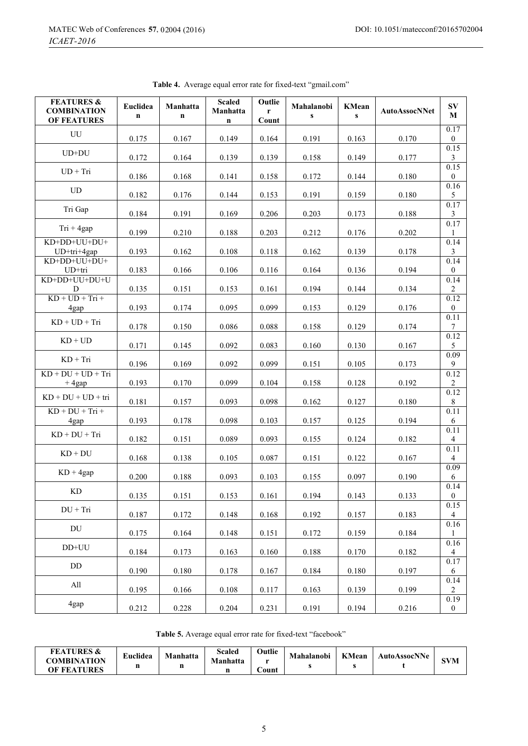| <b>FEATURES &amp;</b><br><b>COMBINATION</b><br><b>OF FEATURES</b> | Euclidea<br>$\mathbf n$ | Manhatta<br>$\mathbf n$ | <b>Scaled</b><br>Manhatta<br>$\mathbf n$ | Outlie<br>r<br>Count | Mahalanobi<br>$\mathbf{s}$ | <b>KMean</b><br>$\mathbf{s}$ | <b>AutoAssocNNet</b> | $S_{\bf V}$<br>$\mathbf M$          |
|-------------------------------------------------------------------|-------------------------|-------------------------|------------------------------------------|----------------------|----------------------------|------------------------------|----------------------|-------------------------------------|
| UU                                                                | 0.175                   | 0.167                   | 0.149                                    | 0.164                | 0.191                      | 0.163                        | 0.170                | 0.17<br>$\overline{0}$              |
| $UD+DU$                                                           | 0.172                   | 0.164                   | 0.139                                    | 0.139                | 0.158                      | 0.149                        | 0.177                | 0.15<br>3                           |
| $UD + Tri$                                                        | 0.186                   | 0.168                   | 0.141                                    | 0.158                | 0.172                      | 0.144                        | 0.180                | $0.\overline{15}$<br>$\overline{0}$ |
| UD                                                                | 0.182                   | 0.176                   | 0.144                                    | 0.153                | 0.191                      | 0.159                        | 0.180                | 0.16<br>5                           |
| Tri Gap                                                           | 0.184                   | 0.191                   | 0.169                                    | 0.206                | 0.203                      | 0.173                        | 0.188                | 0.17<br>$\mathfrak{Z}$              |
| $Tri + 4gap$                                                      | 0.199                   | 0.210                   | 0.188                                    | 0.203                | 0.212                      | 0.176                        | 0.202                | 0.17<br>1                           |
| KD+DD+UU+DU+<br>UD+tri+4gap                                       | 0.193                   | 0.162                   | 0.108                                    | 0.118                | 0.162                      | 0.139                        | 0.178                | 0.14<br>3                           |
| KD+DD+UU+DU+<br>UD+tri                                            | 0.183                   | 0.166                   | 0.106                                    | 0.116                | 0.164                      | 0.136                        | 0.194                | 0.14<br>$\boldsymbol{0}$            |
| KD+DD+UU+DU+U<br>D                                                | 0.135                   | 0.151                   | 0.153                                    | 0.161                | 0.194                      | 0.144                        | 0.134                | 0.14<br>$\overline{c}$              |
| $KD + UD + Tri +$<br>4gap                                         | 0.193                   | 0.174                   | 0.095                                    | 0.099                | 0.153                      | 0.129                        | 0.176                | 0.12<br>$\mathbf{0}$                |
| $KD + UD + Tri$                                                   | 0.178                   | 0.150                   | 0.086                                    | 0.088                | 0.158                      | 0.129                        | 0.174                | 0.11<br>$\tau$                      |
| $KD + UD$                                                         | 0.171                   | 0.145                   | 0.092                                    | 0.083                | 0.160                      | 0.130                        | 0.167                | 0.12<br>5                           |
| $KD + Tri$                                                        | 0.196                   | 0.169                   | 0.092                                    | 0.099                | 0.151                      | 0.105                        | 0.173                | 0.09<br>9                           |
| $KD + DU + UD + Tri$<br>$+4$ gap                                  | 0.193                   | 0.170                   | 0.099                                    | 0.104                | 0.158                      | 0.128                        | 0.192                | 0.12<br>$\overline{c}$              |
| $KD + DU + UD + tri$                                              | 0.181                   | 0.157                   | 0.093                                    | 0.098                | 0.162                      | 0.127                        | 0.180                | 0.12<br>8                           |
| $KD + DU + Tri +$<br>4gap                                         | 0.193                   | 0.178                   | 0.098                                    | 0.103                | 0.157                      | 0.125                        | 0.194                | 0.11<br>6                           |
| $KD + DU + Tri$                                                   | 0.182                   | 0.151                   | 0.089                                    | 0.093                | 0.155                      | 0.124                        | 0.182                | 0.11<br>$\overline{4}$              |
| $KD + DU$                                                         | 0.168                   | 0.138                   | 0.105                                    | 0.087                | 0.151                      | 0.122                        | 0.167                | 0.11<br>$\overline{4}$              |
| $KD + 4gap$                                                       | 0.200                   | 0.188                   | 0.093                                    | 0.103                | 0.155                      | 0.097                        | 0.190                | 0.09<br>6                           |
| $\mathop{\mathrm{KD}}$                                            | 0.135                   | 0.151                   | 0.153                                    | 0.161                | 0.194                      | 0.143                        | 0.133                | 0.14<br>$\bf{0}$                    |
| $DU + Tri$                                                        | 0.187                   | 0.172                   | 0.148                                    | 0.168                | 0.192                      | 0.157                        | 0.183                | 0.15<br>4                           |
| DU                                                                | 0.175                   | 0.164                   | 0.148                                    | 0.151                | 0.172                      | 0.159                        | 0.184                | $0.16\,$<br>1                       |
| $DD+UU$                                                           | 0.184                   | 0.173                   | 0.163                                    | 0.160                | 0.188                      | 0.170                        | 0.182                | 0.16<br>4                           |
| DD                                                                | 0.190                   | 0.180                   | 0.178                                    | 0.167                | 0.184                      | 0.180                        | 0.197                | 0.17<br>6                           |
| All                                                               | 0.195                   | 0.166                   | 0.108                                    | 0.117                | 0.163                      | 0.139                        | 0.199                | 0.14<br>$\overline{c}$              |
| 4gap                                                              | 0.212                   | 0.228                   | 0.204                                    | 0.231                | 0.191                      | 0.194                        | 0.216                | 0.19<br>$\mathbf{0}$                |

**Table 4.** Average equal error rate for fixed-text "gmail.com"

**Table 5.** Average equal error rate for fixed-text "facebook"

| <b>FEATURES &amp;</b><br><b>COMBINATION</b><br>OF FEATURES | Euclidea | <b>Manhatta</b> | Scaled<br>Manhatta | Outlie<br>ount | Mahalanobi | <b>KMean</b> | <b>AutoAssocNNe</b> |  |
|------------------------------------------------------------|----------|-----------------|--------------------|----------------|------------|--------------|---------------------|--|
|------------------------------------------------------------|----------|-----------------|--------------------|----------------|------------|--------------|---------------------|--|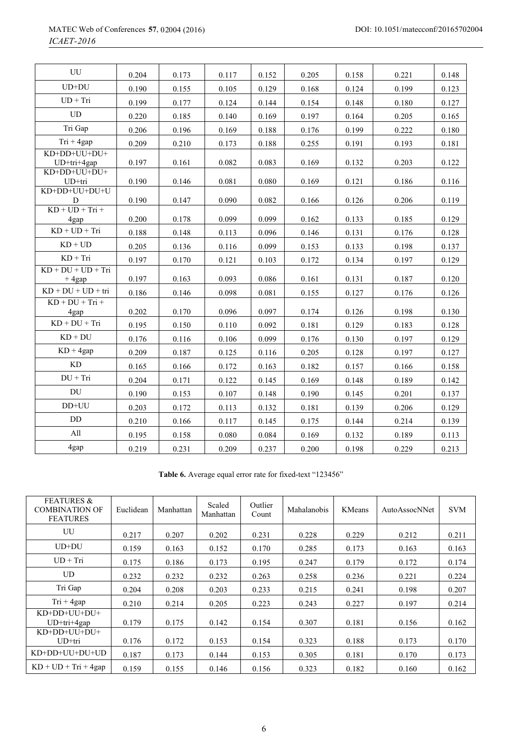| UU                               | 0.204 | 0.173 | 0.117 | 0.152 | 0.205 | 0.158 | 0.221 | 0.148 |
|----------------------------------|-------|-------|-------|-------|-------|-------|-------|-------|
| $UD+DU$                          | 0.190 | 0.155 | 0.105 | 0.129 | 0.168 | 0.124 | 0.199 | 0.123 |
| $UD + Tri$                       | 0.199 | 0.177 | 0.124 | 0.144 | 0.154 | 0.148 | 0.180 | 0.127 |
| <b>UD</b>                        | 0.220 | 0.185 | 0.140 | 0.169 | 0.197 | 0.164 | 0.205 | 0.165 |
| Tri Gap                          | 0.206 | 0.196 | 0.169 | 0.188 | 0.176 | 0.199 | 0.222 | 0.180 |
| $Tri + 4gap$                     | 0.209 | 0.210 | 0.173 | 0.188 | 0.255 | 0.191 | 0.193 | 0.181 |
| KD+DD+UU+DU+<br>$UD+tri+4gap$    | 0.197 | 0.161 | 0.082 | 0.083 | 0.169 | 0.132 | 0.203 | 0.122 |
| KD+DD+UU+DU+<br>$UD+tri$         | 0.190 | 0.146 | 0.081 | 0.080 | 0.169 | 0.121 | 0.186 | 0.116 |
| KD+DD+UU+DU+U<br>D               | 0.190 | 0.147 | 0.090 | 0.082 | 0.166 | 0.126 | 0.206 | 0.119 |
| $KD + UD + Tri +$<br>4gap        | 0.200 | 0.178 | 0.099 | 0.099 | 0.162 | 0.133 | 0.185 | 0.129 |
| $KD + UD + Tri$                  | 0.188 | 0.148 | 0.113 | 0.096 | 0.146 | 0.131 | 0.176 | 0.128 |
| $KD + UD$                        | 0.205 | 0.136 | 0.116 | 0.099 | 0.153 | 0.133 | 0.198 | 0.137 |
| $KD + Tri$                       | 0.197 | 0.170 | 0.121 | 0.103 | 0.172 | 0.134 | 0.197 | 0.129 |
| $KD + DU + UD + Tri$<br>$+4$ gap | 0.197 | 0.163 | 0.093 | 0.086 | 0.161 | 0.131 | 0.187 | 0.120 |
| $KD + DU + UD + tri$             | 0.186 | 0.146 | 0.098 | 0.081 | 0.155 | 0.127 | 0.176 | 0.126 |
| $KD + DU + Tri +$<br>4gap        | 0.202 | 0.170 | 0.096 | 0.097 | 0.174 | 0.126 | 0.198 | 0.130 |
| $KD + DU + Tri$                  | 0.195 | 0.150 | 0.110 | 0.092 | 0.181 | 0.129 | 0.183 | 0.128 |
| $KD + DU$                        | 0.176 | 0.116 | 0.106 | 0.099 | 0.176 | 0.130 | 0.197 | 0.129 |
| $KD + 4gap$                      | 0.209 | 0.187 | 0.125 | 0.116 | 0.205 | 0.128 | 0.197 | 0.127 |
| KD                               | 0.165 | 0.166 | 0.172 | 0.163 | 0.182 | 0.157 | 0.166 | 0.158 |
| $DU + Tri$                       | 0.204 | 0.171 | 0.122 | 0.145 | 0.169 | 0.148 | 0.189 | 0.142 |
| <b>DU</b>                        | 0.190 | 0.153 | 0.107 | 0.148 | 0.190 | 0.145 | 0.201 | 0.137 |
| DD+UU                            | 0.203 | 0.172 | 0.113 | 0.132 | 0.181 | 0.139 | 0.206 | 0.129 |
| <b>DD</b>                        | 0.210 | 0.166 | 0.117 | 0.145 | 0.175 | 0.144 | 0.214 | 0.139 |
| All                              | 0.195 | 0.158 | 0.080 | 0.084 | 0.169 | 0.132 | 0.189 | 0.113 |
| 4gap                             | 0.219 | 0.231 | 0.209 | 0.237 | 0.200 | 0.198 | 0.229 | 0.213 |

**Table 6.** Average equal error rate for fixed-text "123456"

| <b>FEATURES &amp;</b><br><b>COMBINATION OF</b><br><b>FEATURES</b> | Euclidean | Manhattan | Scaled<br>Manhattan | Outlier<br>Count | Mahalanobis | <b>KMeans</b> | Auto Assoc NNet | <b>SVM</b> |
|-------------------------------------------------------------------|-----------|-----------|---------------------|------------------|-------------|---------------|-----------------|------------|
| UU                                                                | 0.217     | 0.207     | 0.202               | 0.231            | 0.228       | 0.229         | 0.212           | 0.211      |
| $UD+DU$                                                           | 0.159     | 0.163     | 0.152               | 0.170            | 0.285       | 0.173         | 0.163           | 0.163      |
| $UD + Tri$                                                        | 0.175     | 0.186     | 0.173               | 0.195            | 0.247       | 0.179         | 0.172           | 0.174      |
| <b>UD</b>                                                         | 0.232     | 0.232     | 0.232               | 0.263            | 0.258       | 0.236         | 0.221           | 0.224      |
| Tri Gap                                                           | 0.204     | 0.208     | 0.203               | 0.233            | 0.215       | 0.241         | 0.198           | 0.207      |
| $Tri + 4gap$                                                      | 0.210     | 0.214     | 0.205               | 0.223            | 0.243       | 0.227         | 0.197           | 0.214      |
| KD+DD+UU+DU+<br>$UD+tri+4gap$                                     | 0.179     | 0.175     | 0.142               | 0.154            | 0.307       | 0.181         | 0.156           | 0.162      |
| KD+DD+UU+DU+<br>$UD+tri$                                          | 0.176     | 0.172     | 0.153               | 0.154            | 0.323       | 0.188         | 0.173           | 0.170      |
| KD+DD+UU+DU+UD                                                    | 0.187     | 0.173     | 0.144               | 0.153            | 0.305       | 0.181         | 0.170           | 0.173      |
| $KD + UD + Tri + 4gap$                                            | 0.159     | 0.155     | 0.146               | 0.156            | 0.323       | 0.182         | 0.160           | 0.162      |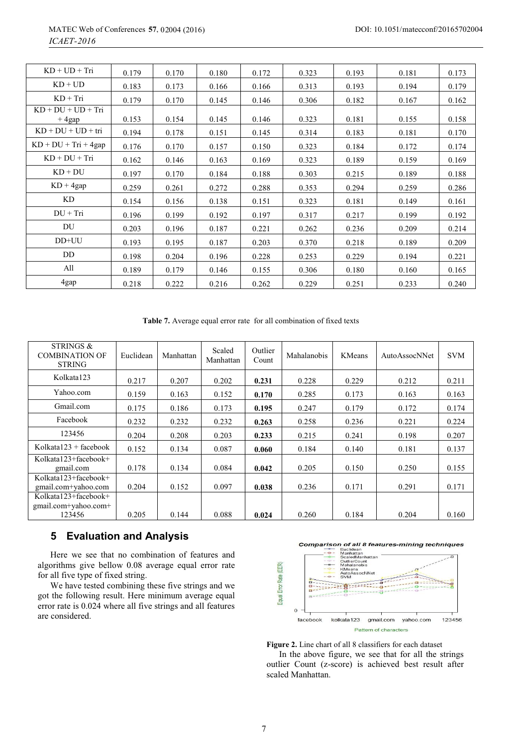| $KD + UD + Tri$                  | 0.179 | 0.170 | 0.180 | 0.172 | 0.323 | 0.193 | 0.181 | 0.173 |
|----------------------------------|-------|-------|-------|-------|-------|-------|-------|-------|
| $KD + UD$                        | 0.183 | 0.173 | 0.166 | 0.166 | 0.313 | 0.193 | 0.194 | 0.179 |
| $KD + Tri$                       | 0.179 | 0.170 | 0.145 | 0.146 | 0.306 | 0.182 | 0.167 | 0.162 |
| $KD + DU + UD + Tri$<br>$+4$ gap | 0.153 | 0.154 | 0.145 | 0.146 | 0.323 | 0.181 | 0.155 | 0.158 |
| $KD + DU + UD + tri$             | 0.194 | 0.178 | 0.151 | 0.145 | 0.314 | 0.183 | 0.181 | 0.170 |
| $KD + DU + Tri + 4gap$           | 0.176 | 0.170 | 0.157 | 0.150 | 0.323 | 0.184 | 0.172 | 0.174 |
| $KD + DU + Tri$                  | 0.162 | 0.146 | 0.163 | 0.169 | 0.323 | 0.189 | 0.159 | 0.169 |
| $KD + DU$                        | 0.197 | 0.170 | 0.184 | 0.188 | 0.303 | 0.215 | 0.189 | 0.188 |
| $KD + 4gap$                      | 0.259 | 0.261 | 0.272 | 0.288 | 0.353 | 0.294 | 0.259 | 0.286 |
| KD                               | 0.154 | 0.156 | 0.138 | 0.151 | 0.323 | 0.181 | 0.149 | 0.161 |
| $DU + Tri$                       | 0.196 | 0.199 | 0.192 | 0.197 | 0.317 | 0.217 | 0.199 | 0.192 |
| DU                               | 0.203 | 0.196 | 0.187 | 0.221 | 0.262 | 0.236 | 0.209 | 0.214 |
| DD+UU                            | 0.193 | 0.195 | 0.187 | 0.203 | 0.370 | 0.218 | 0.189 | 0.209 |
| DD                               | 0.198 | 0.204 | 0.196 | 0.228 | 0.253 | 0.229 | 0.194 | 0.221 |
| All                              | 0.189 | 0.179 | 0.146 | 0.155 | 0.306 | 0.180 | 0.160 | 0.165 |
| 4gap                             | 0.218 | 0.222 | 0.216 | 0.262 | 0.229 | 0.251 | 0.233 | 0.240 |

**Table 7.** Average equal error rate for all combination of fixed texts

| STRINGS &<br><b>COMBINATION OF</b><br><b>STRING</b>       | Euclidean | Manhattan | Scaled<br>Manhattan | Outlier<br>Count | Mahalanobis | <b>KMeans</b> | Auto Assoc NNet | <b>SVM</b> |
|-----------------------------------------------------------|-----------|-----------|---------------------|------------------|-------------|---------------|-----------------|------------|
| Kolkata123                                                | 0.217     | 0.207     | 0.202               | 0.231            | 0.228       | 0.229         | 0.212           | 0.211      |
| Yahoo.com                                                 | 0.159     | 0.163     | 0.152               | 0.170            | 0.285       | 0.173         | 0.163           | 0.163      |
| Gmail.com                                                 | 0.175     | 0.186     | 0.173               | 0.195            | 0.247       | 0.179         | 0.172           | 0.174      |
| Facebook                                                  | 0.232     | 0.232     | 0.232               | 0.263            | 0.258       | 0.236         | 0.221           | 0.224      |
| 123456                                                    | 0.204     | 0.208     | 0.203               | 0.233            | 0.215       | 0.241         | 0.198           | 0.207      |
| Kolkata $123 +$ facebook                                  | 0.152     | 0.134     | 0.087               | 0.060            | 0.184       | 0.140         | 0.181           | 0.137      |
| $Kolkata123 + facebook +$<br>gmail.com                    | 0.178     | 0.134     | 0.084               | 0.042            | 0.205       | 0.150         | 0.250           | 0.155      |
| Kolkata123+facebook+<br>gmail.com+yahoo.com               | 0.204     | 0.152     | 0.097               | 0.038            | 0.236       | 0.171         | 0.291           | 0.171      |
| $Kolkata$ 123+facebook+<br>gmail.com+yahoo.com+<br>123456 | 0.205     | 0.144     | 0.088               | 0.024            | 0.260       | 0.184         | 0.204           | 0.160      |

### **5 Evaluation and Analysis**

Here we see that no combination of features and algorithms give bellow 0.08 average equal error rate for all five type of fixed string.

We have tested combining these five strings and we got the following result. Here minimum average equal error rate is 0.024 where all five strings and all features are considered.



**Figure 2.** Line chart of all 8 classifiers for each dataset

In the above figure, we see that for all the strings outlier Count (z-score) is achieved best result after scaled Manhattan.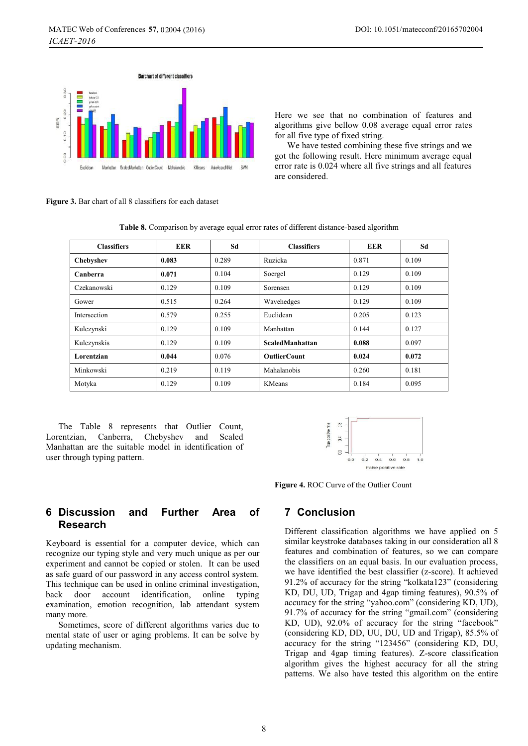

DOI: 10.1051/matecconf/20165702004

Here we see that no combination of features and algorithms give bellow 0.08 average equal error rates for all five type of fixed string.

We have tested combining these five strings and we got the following result. Here minimum average equal error rate is 0.024 where all five strings and all features are considered.

**Figure 3.** Bar chart of all 8 classifiers for each dataset

| <b>Classifiers</b> | <b>EER</b> | Sd    | <b>Classifiers</b>     | <b>EER</b> | Sd    |
|--------------------|------------|-------|------------------------|------------|-------|
| Chebyshev          | 0.083      | 0.289 | Ruzicka                | 0.871      | 0.109 |
| Canberra           | 0.071      | 0.104 | Soergel                | 0.129      | 0.109 |
| Czekanowski        | 0.129      | 0.109 | Sorensen               | 0.129      | 0.109 |
| Gower              | 0.515      | 0.264 | Wavehedges             | 0.129      | 0.109 |
| Intersection       | 0.579      | 0.255 | Euclidean              | 0.205      | 0.123 |
| Kulczynski         | 0.129      | 0.109 | Manhattan              | 0.144      | 0.127 |
| Kulczynskis        | 0.129      | 0.109 | <b>ScaledManhattan</b> | 0.088      | 0.097 |
| Lorentzian         | 0.044      | 0.076 | <b>OutlierCount</b>    | 0.024      | 0.072 |
| Minkowski          | 0.219      | 0.119 | Mahalanobis            | 0.260      | 0.181 |
| Motyka             | 0.129      | 0.109 | <b>KMeans</b>          | 0.184      | 0.095 |

**Table 8.** Comparison by average equal error rates of different distance-based algorithm

The Table 8 represents that Outlier Count, Lorentzian, Canberra, Chebyshev and Scaled Manhattan are the suitable model in identification of user through typing pattern.



**Figure 4.** ROC Curve of the Outlier Count

### **6 Discussion and Further Area of Research**

Keyboard is essential for a computer device, which can recognize our typing style and very much unique as per our experiment and cannot be copied or stolen. It can be used as safe guard of our password in any access control system. This technique can be used in online criminal investigation, back door account identification, online typing examination, emotion recognition, lab attendant system many more.

Sometimes, score of different algorithms varies due to mental state of user or aging problems. It can be solve by updating mechanism.

## **7 Conclusion**

Different classification algorithms we have applied on 5 similar keystroke databases taking in our consideration all 8 features and combination of features, so we can compare the classifiers on an equal basis. In our evaluation process, we have identified the best classifier (z-score). It achieved 91.2% of accuracy for the string "kolkata123" (considering KD, DU, UD, Trigap and 4gap timing features), 90.5% of accuracy for the string "yahoo.com" (considering KD, UD), 91.7% of accuracy for the string "gmail.com" (considering KD, UD), 92.0% of accuracy for the string "facebook" (considering KD, DD, UU, DU, UD and Trigap), 85.5% of accuracy for the string "123456" (considering KD, DU, Trigap and 4gap timing features). Z-score classification algorithm gives the highest accuracy for all the string patterns. We also have tested this algorithm on the entire